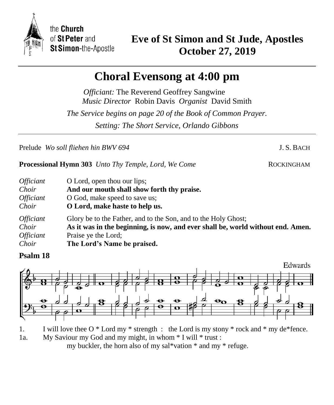

the Church of St Peter and St Simon-the-Apostle

## **Choral Evensong at 4:00 pm**

*Officiant:* The Reverend Geoffrey Sangwine *Music Director* Robin Davis *Organist* David Smith *The Service begins on page 20 of the Book of Common Prayer. Setting: The Short Service, Orlando Gibbons*

Prelude *Wo soll fliehen hin BWV 694* J.S. BACH

**Processional Hymn 303** *Unto Thy Temple, Lord, We Come* ROCKINGHAM

| <i>Officiant</i>        | O Lord, open thou our lips;                                                     |
|-------------------------|---------------------------------------------------------------------------------|
| Choir                   | And our mouth shall show forth thy praise.                                      |
| <i><b>Officiant</b></i> | O God, make speed to save us;                                                   |
| Choir                   | O Lord, make haste to help us.                                                  |
| <i><b>Officiant</b></i> | Glory be to the Father, and to the Son, and to the Holy Ghost;                  |
| Choir                   | As it was in the beginning, is now, and ever shall be, world without end. Amen. |
| <i><b>Officiant</b></i> | Praise ye the Lord;                                                             |
| Choir                   | The Lord's Name be praised.                                                     |

## **Psalm 18**



1. I will love thee  $O^*$  Lord my  $*$  strength : the Lord is my stony  $*$  rock and  $*$  my de $*$ fence.

1a. My Saviour my God and my might, in whom \* I will \* trust : my buckler, the horn also of my sal\*vation \* and my \* refuge.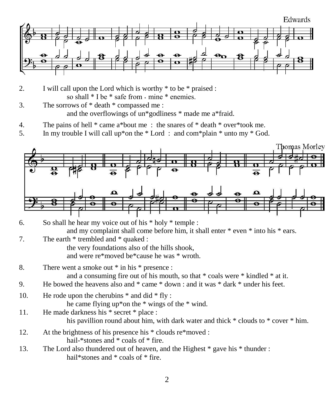

- 2. I will call upon the Lord which is worthy \* to be \* praised : so shall  $*$  I be  $*$  safe from  $\cdot$  mine  $*$  enemies.
- 3. The sorrows of \* death \* compassed me : and the overflowings of un\*godliness \* made me a\*fraid.
- 4. The pains of hell \* came a\*bout me : the snares of \* death \* over\*took me.
- 5. In my trouble I will call up\*on the \* Lord : and com\*plain \* unto my \* God.



- 7. The earth \* trembled and \* quaked : the very foundations also of the hills shook, and were re\*moved be\*cause he was \* wroth.
- 8. There went a smoke out \* in his \* presence : and a consuming fire out of his mouth, so that \* coals were \* kindled \* at it.
- 9. He bowed the heavens also and \* came \* down : and it was \* dark \* under his feet.
- 10. He rode upon the cherubins  $*$  and did  $*$  fly :
	- he came flying up\*on the \* wings of the \* wind.
- 11. He made darkness his \* secret \* place : his pavillion round about him, with dark water and thick \* clouds to \* cover \* him.
- 12. At the brightness of his presence his \* clouds re\*moved : hail-\*stones and \* coals of \* fire.
- 13. The Lord also thundered out of heaven, and the Highest \* gave his \* thunder : hail\*stones and \* coals of \* fire.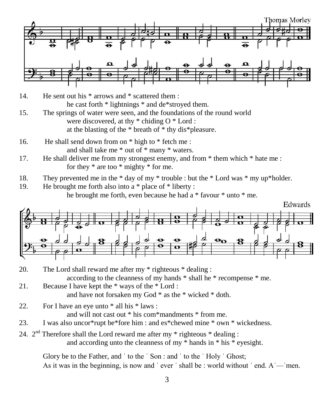

- 14. He sent out his \* arrows and \* scattered them : he cast forth \* lightnings \* and de\*stroyed them.
- 15. The springs of water were seen, and the foundations of the round world were discovered, at thy  $*$  chiding O  $*$  Lord : at the blasting of the \* breath of \* thy dis\*pleasure.
- 16. He shall send down from on \* high to \* fetch me : and shall take me \* out of \* many \* waters.
- 17. He shall deliver me from my strongest enemy, and from \* them which \* hate me : for they \* are too \* mighty \* for me.
- 18. They prevented me in the \* day of my \* trouble : but the \* Lord was \* my up\*holder.
- 19. He brought me forth also into a \* place of \* liberty : he brought me forth, even because he had a \* favour \* unto \* me.



- 20. The Lord shall reward me after my \* righteous \* dealing : according to the cleanness of my hands \* shall he \* recompense \* me.
- 21. Because I have kept the \* ways of the \* Lord : and have not forsaken my God \* as the \* wicked \* doth.
- 22. For I have an eye unto \* all his \* laws :

and will not cast out \* his com\*mandments \* from me.

- 23. I was also uncor\*rupt be\*fore him : and es\*chewed mine \* own \* wickedness.
- 24.  $2<sup>nd</sup>$  Therefore shall the Lord reward me after my  $*$  righteous  $*$  dealing : and according unto the cleanness of my \* hands in \* his \* eyesight.

Glory be to the Father, and ' to the ' Son : and ' to the ' Holy ' Ghost; As it was in the beginning, is now and 'ever' shall be : world without 'end.  $A'$ —'men.